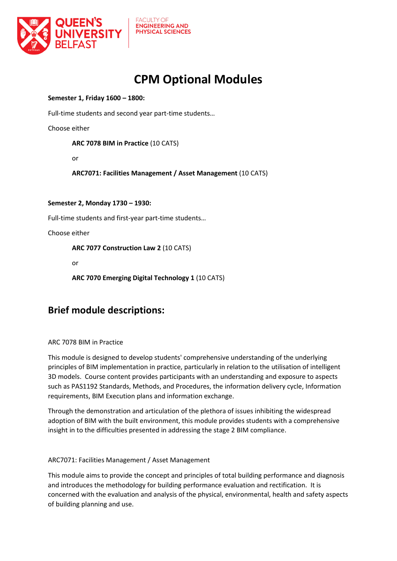

**FACULTY OF ENGINEERING AND PHYSICAL SCIENCES** 

# **CPM Optional Modules**

### **Semester 1, Friday 1600 – 1800:**

Full-time students and second year part-time students…

Choose either

**ARC 7078 BIM in Practice** (10 CATS)

or

**ARC7071: Facilities Management / Asset Management** (10 CATS)

### **Semester 2, Monday 1730 – 1930:**

Full-time students and first-year part-time students…

Choose either

**ARC 7077 Construction Law 2** (10 CATS)

or

**ARC 7070 Emerging Digital Technology 1** (10 CATS)

## **Brief module descriptions:**

ARC 7078 BIM in Practice

This module is designed to develop students' comprehensive understanding of the underlying principles of BIM implementation in practice, particularly in relation to the utilisation of intelligent 3D models. Course content provides participants with an understanding and exposure to aspects such as PAS1192 Standards, Methods, and Procedures, the information delivery cycle, Information requirements, BIM Execution plans and information exchange.

Through the demonstration and articulation of the plethora of issues inhibiting the widespread adoption of BIM with the built environment, this module provides students with a comprehensive insight in to the difficulties presented in addressing the stage 2 BIM compliance.

### ARC7071: Facilities Management / Asset Management

This module aims to provide the concept and principles of total building performance and diagnosis and introduces the methodology for building performance evaluation and rectification. It is concerned with the evaluation and analysis of the physical, environmental, health and safety aspects of building planning and use.